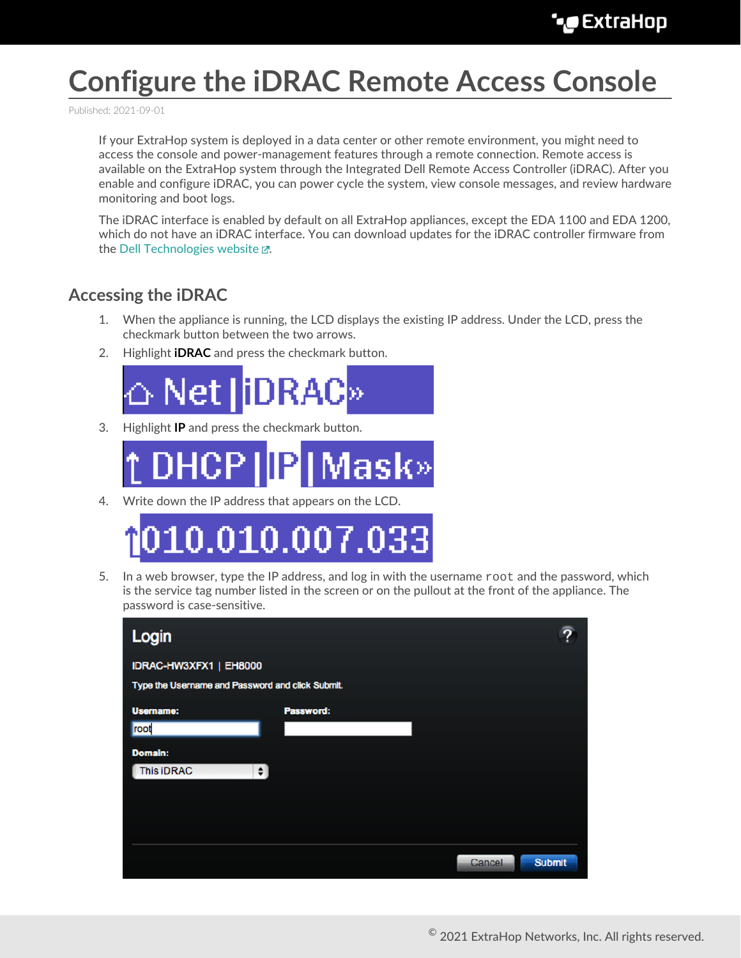# **Configure the iDRAC Remote Access Console**

Published: 2021-09-01

If your ExtraHop system is deployed in a data center or other remote environment, you might need to access the console and power-management features through a remote connection. Remote access is available on the ExtraHop system through the Integrated Dell Remote Access Controller (iDRAC). After you enable and configure iDRAC, you can power cycle the system, view console messages, and review hardware monitoring and boot logs.

The iDRAC interface is enabled by default on all ExtraHop appliances, except the EDA 1100 and EDA 1200, which do not have an iDRAC interface. You can download updates for the iDRAC controller firmware from the Dell Technologies website  $\mathbb{Z}$ .

#### **Accessing the iDRAC**

- 1. When the appliance is running, the LCD displays the existing IP address. Under the LCD, press the checkmark button between the two arrows.
- 2. Highlight **iDRAC** and press the checkmark button.



3. Highlight **IP** and press the checkmark button.



4. Write down the IP address that appears on the LCD.



5. In a web browser, type the IP address, and log in with the username  $r \circ t$  and the password, which is the service tag number listed in the screen or on the pullout at the front of the appliance. The password is case-sensitive.

| Login                                            |           |                         |  |
|--------------------------------------------------|-----------|-------------------------|--|
| IDRAC-HW3XFX1   EH8000                           |           |                         |  |
| Type the Username and Password and click Submit. |           |                         |  |
| <b>Username:</b>                                 | Password: |                         |  |
| root                                             |           |                         |  |
| <b>Domain:</b>                                   |           |                         |  |
| <b>This iDRAC</b><br>$\bullet$                   |           |                         |  |
|                                                  |           |                         |  |
|                                                  |           |                         |  |
|                                                  |           |                         |  |
|                                                  |           | <b>Submit</b><br>Cancel |  |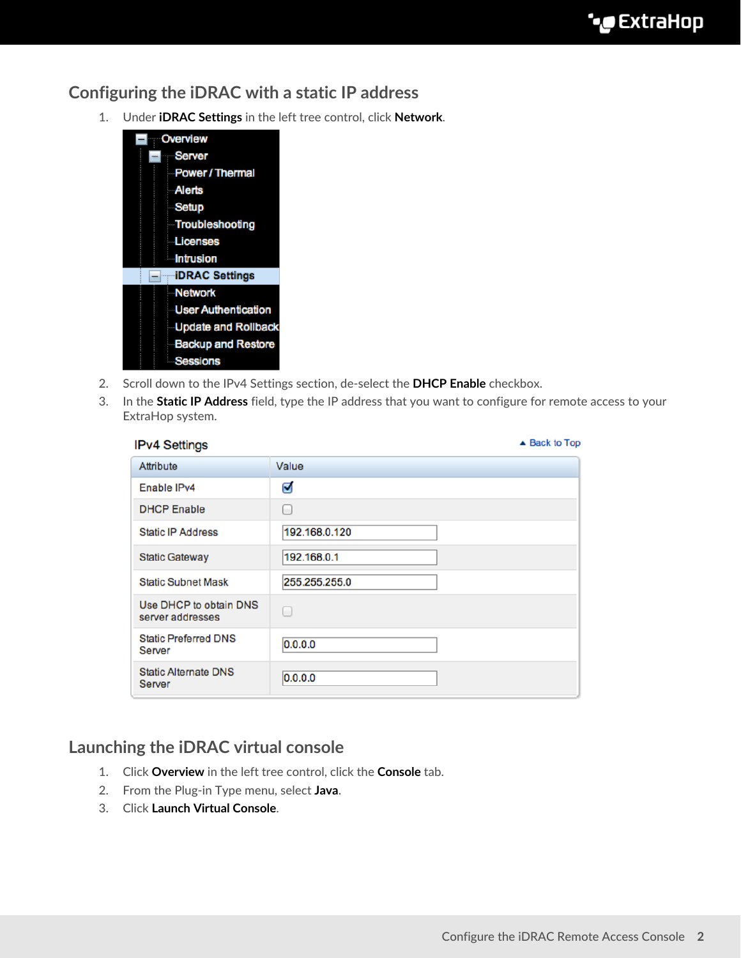#### **Configuring the iDRAC with a static IP address**

1. Under **iDRAC Settings** in the left tree control, click **Network**.



- 2. Scroll down to the IPv4 Settings section, de-select the **DHCP Enable** checkbox.
- 3. In the **Static IP Address** field, type the IP address that you want to configure for remote access to your ExtraHop system.

| <b>IPv4 Settings</b>                       | ▲ Back to Top |
|--------------------------------------------|---------------|
| Attribute                                  | Value         |
| Enable IPv4                                | Ø             |
| <b>DHCP Enable</b>                         | └             |
| <b>Static IP Address</b>                   | 192.168.0.120 |
| <b>Static Gateway</b>                      | 192.168.0.1   |
| <b>Static Subnet Mask</b>                  | 255.255.255.0 |
| Use DHCP to obtain DNS<br>server addresses | o             |
| <b>Static Preferred DNS</b><br>Server      | 0.0.0.0       |
| <b>Static Alternate DNS</b><br>Server      | 0.0.0.0       |

#### **Launching the iDRAC virtual console**

- 1. Click **Overview** in the left tree control, click the **Console** tab.
- 2. From the Plug-in Type menu, select **Java**.
- 3. Click **Launch Virtual Console**.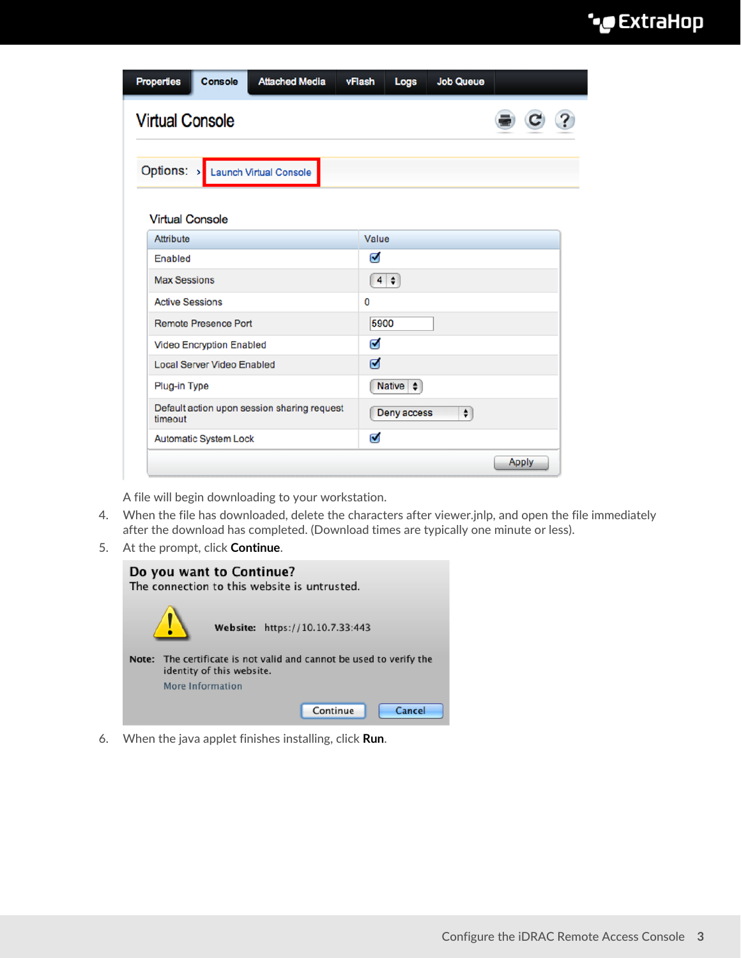## ExtraHop **@-**\*

| <b>Virtual Console</b>            |  |                                             |                                                        |             |           |  |  |
|-----------------------------------|--|---------------------------------------------|--------------------------------------------------------|-------------|-----------|--|--|
|                                   |  | Options: > Launch Virtual Console           |                                                        |             |           |  |  |
| <b>Virtual Console</b>            |  |                                             |                                                        |             |           |  |  |
| Attribute                         |  |                                             | Value                                                  |             |           |  |  |
| Enabled                           |  |                                             | Ø                                                      |             |           |  |  |
| <b>Max Sessions</b>               |  |                                             |                                                        | $4 \div$    |           |  |  |
| <b>Active Sessions</b>            |  |                                             | 0                                                      |             |           |  |  |
| <b>Remote Presence Port</b>       |  | 5900                                        |                                                        |             |           |  |  |
| <b>Video Encryption Enabled</b>   |  | Ø                                           |                                                        |             |           |  |  |
| <b>Local Server Video Enabled</b> |  | ☑                                           |                                                        |             |           |  |  |
| Plug-in Type                      |  |                                             | Native $\left  \begin{array}{c} 1 \end{array} \right $ |             |           |  |  |
| timeout                           |  | Default action upon session sharing request |                                                        | Deny access | $\bullet$ |  |  |
|                                   |  |                                             | Ø                                                      |             |           |  |  |

A file will begin downloading to your workstation.

- 4. When the file has downloaded, delete the characters after viewer.jnlp, and open the file immediately after the download has completed. (Download times are typically one minute or less).
- 5. At the prompt, click **Continue**.

|       | Do you want to Continue?<br>The connection to this website is untrusted.                   |
|-------|--------------------------------------------------------------------------------------------|
|       | Website: https://10.10.7.33:443                                                            |
| Note: | The certificate is not valid and cannot be used to verify the<br>identity of this website. |
|       | More Information                                                                           |
|       | Continue<br>Cancel                                                                         |

6. When the java applet finishes installing, click **Run**.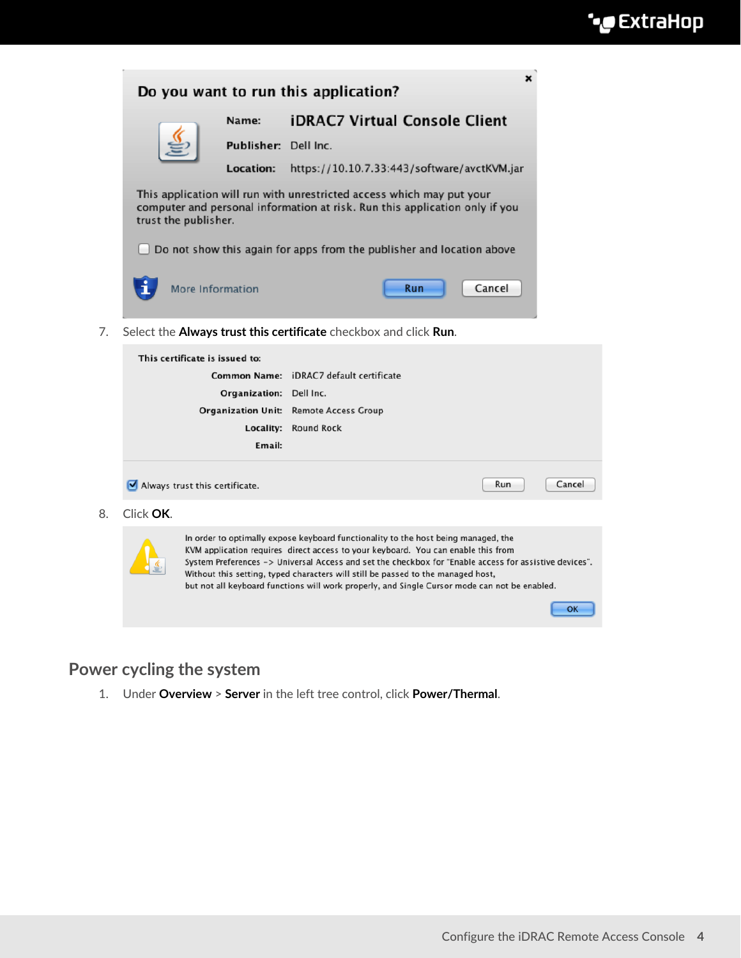| Do you want to run this application?                                                                                                                                         |                      |  |                                             | ×      |
|------------------------------------------------------------------------------------------------------------------------------------------------------------------------------|----------------------|--|---------------------------------------------|--------|
|                                                                                                                                                                              | Name:                |  | <b>iDRAC7 Virtual Console Client</b>        |        |
|                                                                                                                                                                              | Publisher: Dell Inc. |  |                                             |        |
|                                                                                                                                                                              | <b>Location:</b>     |  | https://10.10.7.33:443/software/avctKVM.jar |        |
| This application will run with unrestricted access which may put your<br>computer and personal information at risk. Run this application only if you<br>trust the publisher. |                      |  |                                             |        |
| Do not show this again for apps from the publisher and location above                                                                                                        |                      |  |                                             |        |
| More Information                                                                                                                                                             |                      |  | Run                                         | Cancel |
|                                                                                                                                                                              | .                    |  |                                             |        |

7. Select the **Always trust this certificate** checkbox and click **Run**.

|           | This certificate is issued to: |                                                                                                                                                                                                                                                                                                                                                                                                                                                                        |     |        |
|-----------|--------------------------------|------------------------------------------------------------------------------------------------------------------------------------------------------------------------------------------------------------------------------------------------------------------------------------------------------------------------------------------------------------------------------------------------------------------------------------------------------------------------|-----|--------|
|           |                                | <b>Common Name:</b> iDRAC7 default certificate                                                                                                                                                                                                                                                                                                                                                                                                                         |     |        |
|           | Organization: Dell Inc.        |                                                                                                                                                                                                                                                                                                                                                                                                                                                                        |     |        |
|           |                                | <b>Organization Unit:</b> Remote Access Group                                                                                                                                                                                                                                                                                                                                                                                                                          |     |        |
|           | Locality:                      | <b>Round Rock</b>                                                                                                                                                                                                                                                                                                                                                                                                                                                      |     |        |
|           | Email:                         |                                                                                                                                                                                                                                                                                                                                                                                                                                                                        |     |        |
| Click OK. | Always trust this certificate. |                                                                                                                                                                                                                                                                                                                                                                                                                                                                        | Run | Cancel |
|           |                                | In order to optimally expose keyboard functionality to the host being managed, the<br>KVM application requires direct access to your keyboard. You can enable this from<br>System Preferences -> Universal Access and set the checkbox for "Enable access for assistive devices".<br>Without this setting, typed characters will still be passed to the managed host,<br>but not all keyboard functions will work properly, and Single Cursor mode can not be enabled. |     | OK     |

### **Power cycling the system**

8. Click **OK**.

1. Under **Overview** > **Server** in the left tree control, click **Power/Thermal**.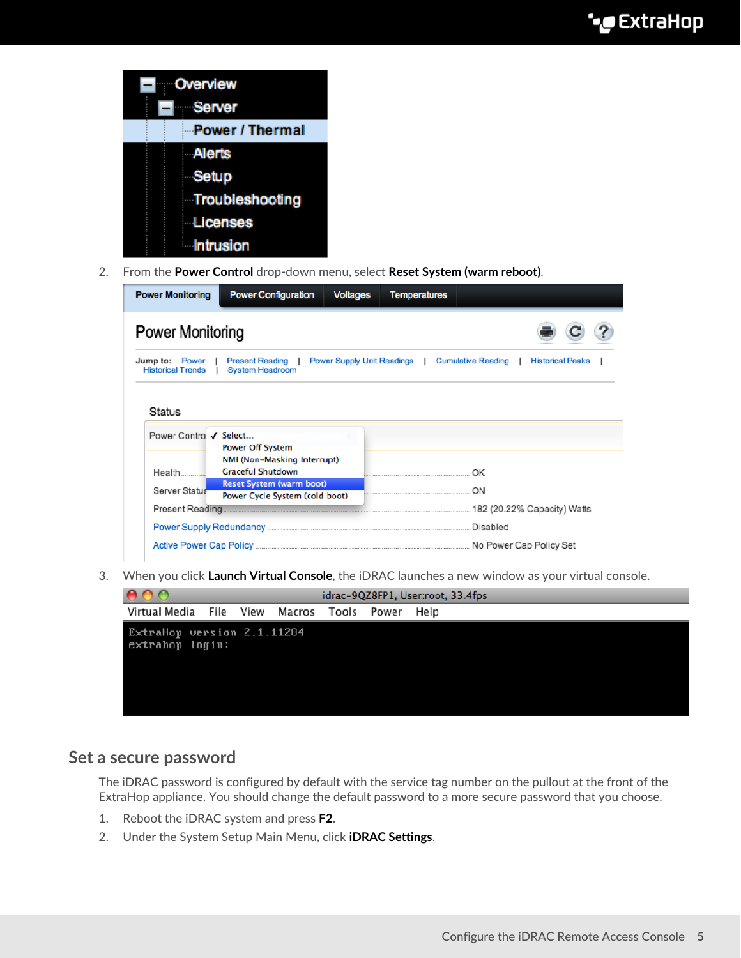|  | Overview         |
|--|------------------|
|  | Server           |
|  | Power / Thermal  |
|  | Alerts           |
|  | Setup            |
|  | Troubleshooting  |
|  | <b>Licenses</b>  |
|  | <b>Intrusion</b> |

2. From the **Power Control** drop-down menu, select **Reset System (warm reboot)**.

| <b>Power Monitoring</b>                    | <b>Power Configuration</b>                                        | <b>Voltages</b> | <b>Temperatures</b>        |                                                      |
|--------------------------------------------|-------------------------------------------------------------------|-----------------|----------------------------|------------------------------------------------------|
| Power Monitoring                           |                                                                   |                 |                            |                                                      |
| Jump to: Power<br><b>Historical Trends</b> | <b>Present Reading</b>  <br>System Headroom                       |                 | Power Supply Unit Readings | <b>Cumulative Reading</b><br><b>Historical Peaks</b> |
| <b>Status</b>                              |                                                                   |                 |                            |                                                      |
| Power Contro √ Select                      |                                                                   |                 |                            |                                                      |
|                                            | <b>Power Off System</b><br>NMI (Non-Masking Interrupt)            |                 |                            |                                                      |
| Health                                     | <b>Graceful Shutdown</b>                                          |                 |                            | OK                                                   |
| Server Status                              | <b>Reset System (warm boot)</b><br>Power Cycle System (cold boot) |                 |                            | ON                                                   |
| Present Reading                            |                                                                   |                 |                            | 182 (20.22% Capacity) Watts                          |
|                                            |                                                                   |                 |                            | Disabled                                             |
|                                            |                                                                   |                 |                            | No Power Cap Policy Set                              |

3. When you click **Launch Virtual Console**, the iDRAC launches a new window as your virtual console.



#### **Set a secure password**

The iDRAC password is configured by default with the service tag number on the pullout at the front of the ExtraHop appliance. You should change the default password to a more secure password that you choose.

- 1. Reboot the iDRAC system and press **F2**.
- 2. Under the System Setup Main Menu, click **iDRAC Settings**.